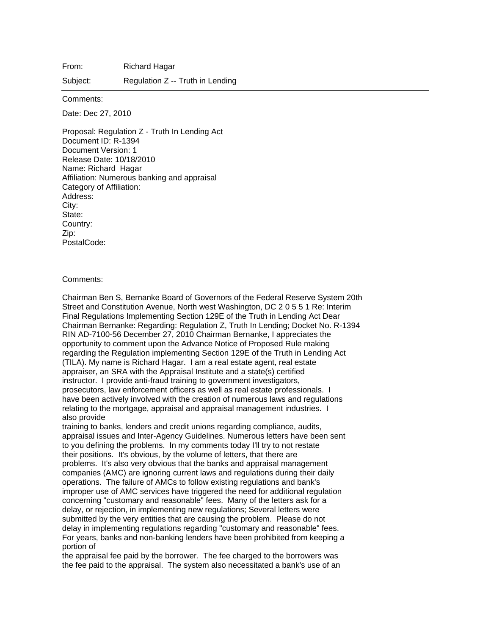From: Richard Hagar

Subject: Regulation Z -- Truth in Lending

Comments:

Date: Dec 27, 2010

Proposal: Regulation Z - Truth In Lending Act Document ID: R-1394 Document Version: 1 Release Date: 10/18/2010 Name: Richard Hagar Affiliation: Numerous banking and appraisal Category of Affiliation: Address: City: State: Country: Zip: PostalCode:

## Comments:

Chairman Ben S, Bernanke Board of Governors of the Federal Reserve System 20th Street and Constitution Avenue, North west Washington, DC 2 0 5 5 1 Re: Interim Final Regulations Implementing Section 129E of the Truth in Lending Act Dear Chairman Bernanke: Regarding: Regulation Z, Truth In Lending; Docket No. R-1394 RIN AD-7100-56 December 27, 2010 Chairman Bernanke, I appreciates the opportunity to comment upon the Advance Notice of Proposed Rule making regarding the Regulation implementing Section 129E of the Truth in Lending Act (TILA). My name is Richard Hagar. I am a real estate agent, real estate appraiser, an SRA with the Appraisal Institute and a state(s) certified instructor. I provide anti-fraud training to government investigators, prosecutors, law enforcement officers as well as real estate professionals. I have been actively involved with the creation of numerous laws and regulations relating to the mortgage, appraisal and appraisal management industries. I also provide

training to banks, lenders and credit unions regarding compliance, audits, appraisal issues and Inter-Agency Guidelines. Numerous letters have been sent to you defining the problems. In my comments today I'll try to not restate their positions. It's obvious, by the volume of letters, that there are problems. It's also very obvious that the banks and appraisal management companies (AMC) are ignoring current laws and regulations during their daily operations. The failure of AMCs to follow existing regulations and bank's improper use of AMC services have triggered the need for additional regulation concerning "customary and reasonable" fees. Many of the letters ask for a delay, or rejection, in implementing new regulations; Several letters were submitted by the very entities that are causing the problem. Please do not delay in implementing regulations regarding "customary and reasonable" fees. For years, banks and non-banking lenders have been prohibited from keeping a portion of

the appraisal fee paid by the borrower. The fee charged to the borrowers was the fee paid to the appraisal. The system also necessitated a bank's use of an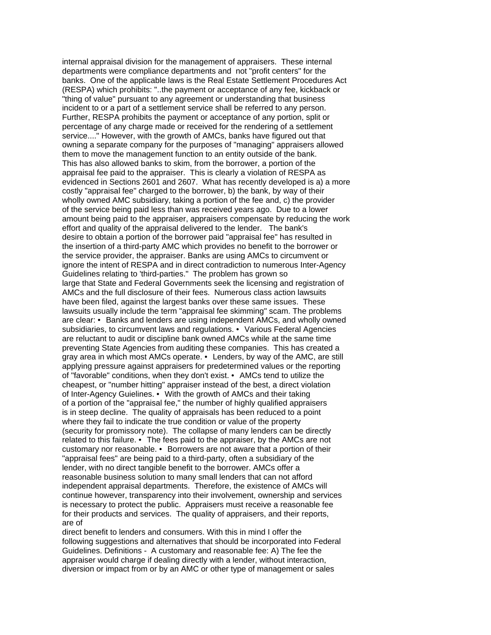internal appraisal division for the management of appraisers. These internal departments were compliance departments and not "profit centers" for the banks. One of the applicable laws is the Real Estate Settlement Procedures Act (RESPA) which prohibits: "..the payment or acceptance of any fee, kickback or "thing of value" pursuant to any agreement or understanding that business incident to or a part of a settlement service shall be referred to any person. Further, RESPA prohibits the payment or acceptance of any portion, split or percentage of any charge made or received for the rendering of a settlement service...." However, with the growth of AMCs, banks have figured out that owning a separate company for the purposes of "managing" appraisers allowed them to move the management function to an entity outside of the bank. This has also allowed banks to skim, from the borrower, a portion of the appraisal fee paid to the appraiser. This is clearly a violation of RESPA as evidenced in Sections 2601 and 2607. What has recently developed is a) a more costly "appraisal fee" charged to the borrower, b) the bank, by way of their wholly owned AMC subsidiary, taking a portion of the fee and, c) the provider of the service being paid less than was received years ago. Due to a lower amount being paid to the appraiser, appraisers compensate by reducing the work effort and quality of the appraisal delivered to the lender. The bank's desire to obtain a portion of the borrower paid "appraisal fee" has resulted in the insertion of a third-party AMC which provides no benefit to the borrower or the service provider, the appraiser. Banks are using AMCs to circumvent or ignore the intent of RESPA and in direct contradiction to numerous Inter-Agency Guidelines relating to 'third-parties." The problem has grown so large that State and Federal Governments seek the licensing and registration of AMCs and the full disclosure of their fees. Numerous class action lawsuits have been filed, against the largest banks over these same issues. These lawsuits usually include the term "appraisal fee skimming" scam. The problems are clear: • Banks and lenders are using independent AMCs, and wholly owned subsidiaries, to circumvent laws and regulations. • Various Federal Agencies are reluctant to audit or discipline bank owned AMCs while at the same time preventing State Agencies from auditing these companies. This has created a gray area in which most AMCs operate. • Lenders, by way of the AMC, are still applying pressure against appraisers for predetermined values or the reporting of "favorable" conditions, when they don't exist. • AMCs tend to utilize the cheapest, or "number hitting" appraiser instead of the best, a direct violation of Inter-Agency Guielines. • With the growth of AMCs and their taking of a portion of the "appraisal fee," the number of highly qualified appraisers is in steep decline. The quality of appraisals has been reduced to a point where they fail to indicate the true condition or value of the property (security for promissory note). The collapse of many lenders can be directly related to this failure. • The fees paid to the appraiser, by the AMCs are not customary nor reasonable. • Borrowers are not aware that a portion of their "appraisal fees" are being paid to a third-party, often a subsidiary of the lender, with no direct tangible benefit to the borrower. AMCs offer a reasonable business solution to many small lenders that can not afford independent appraisal departments. Therefore, the existence of AMCs will continue however, transparency into their involvement, ownership and services is necessary to protect the public. Appraisers must receive a reasonable fee for their products and services. The quality of appraisers, and their reports, are of

direct benefit to lenders and consumers. With this in mind I offer the following suggestions and alternatives that should be incorporated into Federal Guidelines. Definitions - A customary and reasonable fee: A) The fee the appraiser would charge if dealing directly with a lender, without interaction, diversion or impact from or by an AMC or other type of management or sales